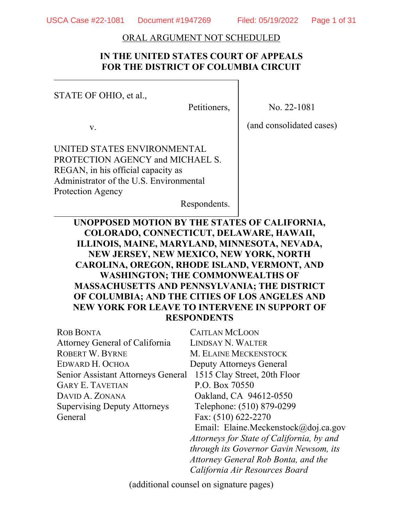#### ORAL ARGUMENT NOT SCHEDULED

# **IN THE UNITED STATES COURT OF APPEALS FOR THE DISTRICT OF COLUMBIA CIRCUIT**

STATE OF OHIO, et al.,

Petitioners,

No. 22-1081

v.

(and consolidated cases)

UNITED STATES ENVIRONMENTAL PROTECTION AGENCY and MICHAEL S. REGAN, in his official capacity as Administrator of the U.S. Environmental Protection Agency

Respondents.

# **UNOPPOSED MOTION BY THE STATES OF CALIFORNIA, COLORADO, CONNECTICUT, DELAWARE, HAWAII, ILLINOIS, MAINE, MARYLAND, MINNESOTA, NEVADA, NEW JERSEY, NEW MEXICO, NEW YORK, NORTH CAROLINA, OREGON, RHODE ISLAND, VERMONT, AND WASHINGTON; THE COMMONWEALTHS OF MASSACHUSETTS AND PENNSYLVANIA; THE DISTRICT OF COLUMBIA; AND THE CITIES OF LOS ANGELES AND NEW YORK FOR LEAVE TO INTERVENE IN SUPPORT OF RESPONDENTS**

| <b>ROB BONTA</b>                    | <b>CAITLAN MCLOON</b>                     |
|-------------------------------------|-------------------------------------------|
| Attorney General of California      | <b>LINDSAY N. WALTER</b>                  |
| <b>ROBERT W. BYRNE</b>              | M. ELAINE MECKENSTOCK                     |
| EDWARD H. OCHOA                     | Deputy Attorneys General                  |
| Senior Assistant Attorneys General  | 1515 Clay Street, 20th Floor              |
| <b>GARY E. TAVETIAN</b>             | P.O. Box 70550                            |
| DAVID A. ZONANA                     | Oakland, CA 94612-0550                    |
| <b>Supervising Deputy Attorneys</b> | Telephone: (510) 879-0299                 |
| General                             | Fax: (510) 622-2270                       |
|                                     | Email: Elaine.Meckenstock@doj.ca.gov      |
|                                     | Attorneys for State of California, by and |
|                                     | through its Governor Gavin Newsom, its    |
|                                     | Attorney General Rob Bonta, and the       |
|                                     | California Air Resources Board            |
|                                     |                                           |

(additional counsel on signature pages)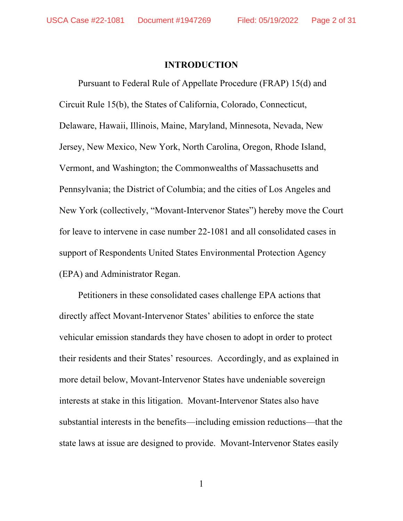#### **INTRODUCTION**

Pursuant to Federal Rule of Appellate Procedure (FRAP) 15(d) and Circuit Rule 15(b), the States of California, Colorado, Connecticut, Delaware, Hawaii, Illinois, Maine, Maryland, Minnesota, Nevada, New Jersey, New Mexico, New York, North Carolina, Oregon, Rhode Island, Vermont, and Washington; the Commonwealths of Massachusetts and Pennsylvania; the District of Columbia; and the cities of Los Angeles and New York (collectively, "Movant-Intervenor States") hereby move the Court for leave to intervene in case number 22-1081 and all consolidated cases in support of Respondents United States Environmental Protection Agency (EPA) and Administrator Regan.

Petitioners in these consolidated cases challenge EPA actions that directly affect Movant-Intervenor States' abilities to enforce the state vehicular emission standards they have chosen to adopt in order to protect their residents and their States' resources. Accordingly, and as explained in more detail below, Movant-Intervenor States have undeniable sovereign interests at stake in this litigation. Movant-Intervenor States also have substantial interests in the benefits—including emission reductions—that the state laws at issue are designed to provide. Movant-Intervenor States easily

1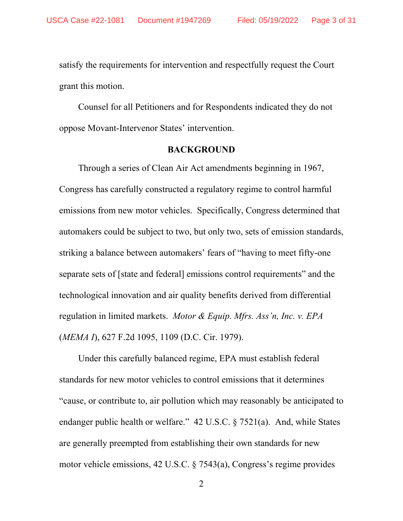satisfy the requirements for intervention and respectfully request the Court grant this motion.

Counsel for all Petitioners and for Respondents indicated they do not oppose Movant-Intervenor States' intervention.

## **BACKGROUND**

Through a series of Clean Air Act amendments beginning in 1967, Congress has carefully constructed a regulatory regime to control harmful emissions from new motor vehicles. Specifically, Congress determined that automakers could be subject to two, but only two, sets of emission standards, striking a balance between automakers' fears of "having to meet fifty-one separate sets of [state and federal] emissions control requirements" and the technological innovation and air quality benefits derived from differential regulation in limited markets. *Motor & Equip. Mfrs. Ass'n, Inc. v. EPA*  (*MEMA I*), 627 F.2d 1095, 1109 (D.C. Cir. 1979).

Under this carefully balanced regime, EPA must establish federal standards for new motor vehicles to control emissions that it determines "cause, or contribute to, air pollution which may reasonably be anticipated to endanger public health or welfare." 42 U.S.C. § 7521(a). And, while States are generally preempted from establishing their own standards for new motor vehicle emissions, 42 U.S.C. § 7543(a), Congress's regime provides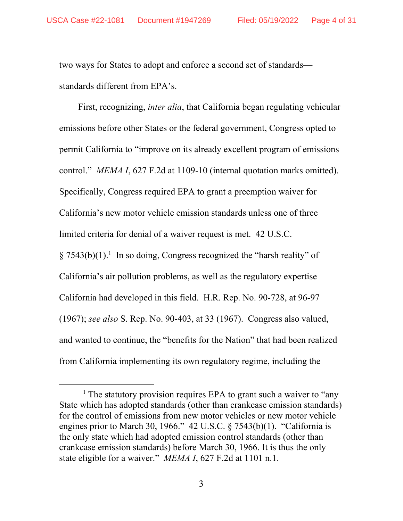two ways for States to adopt and enforce a second set of standards standards different from EPA's.

First, recognizing, *inter alia*, that California began regulating vehicular emissions before other States or the federal government, Congress opted to permit California to "improve on its already excellent program of emissions control." *MEMA I*, 627 F.2d at 1109-10 (internal quotation marks omitted). Specifically, Congress required EPA to grant a preemption waiver for California's new motor vehicle emission standards unless one of three limited criteria for denial of a waiver request is met. 42 U.S.C.  $\S 7543(b)(1).$ <sup>1</sup> In so doing, Congress recognized the "harsh reality" of

California's air pollution problems, as well as the regulatory expertise California had developed in this field. H.R. Rep. No. 90-728, at 96-97 (1967); *see also* S. Rep. No. 90-403, at 33 (1967). Congress also valued, and wanted to continue, the "benefits for the Nation" that had been realized from California implementing its own regulatory regime, including the

<sup>&</sup>lt;u>1</u> <sup>1</sup> The statutory provision requires EPA to grant such a waiver to "any" State which has adopted standards (other than crankcase emission standards) for the control of emissions from new motor vehicles or new motor vehicle engines prior to March 30, 1966." 42 U.S.C. § 7543(b)(1). "California is the only state which had adopted emission control standards (other than crankcase emission standards) before March 30, 1966. It is thus the only state eligible for a waiver." *MEMA I*, 627 F.2d at 1101 n.1.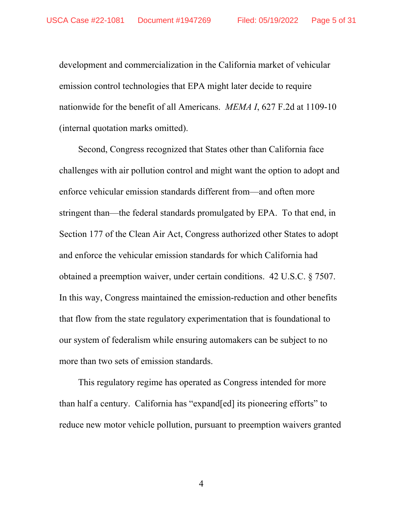development and commercialization in the California market of vehicular emission control technologies that EPA might later decide to require nationwide for the benefit of all Americans. *MEMA I*, 627 F.2d at 1109-10 (internal quotation marks omitted).

Second, Congress recognized that States other than California face challenges with air pollution control and might want the option to adopt and enforce vehicular emission standards different from—and often more stringent than—the federal standards promulgated by EPA. To that end, in Section 177 of the Clean Air Act, Congress authorized other States to adopt and enforce the vehicular emission standards for which California had obtained a preemption waiver, under certain conditions. 42 U.S.C. § 7507. In this way, Congress maintained the emission-reduction and other benefits that flow from the state regulatory experimentation that is foundational to our system of federalism while ensuring automakers can be subject to no more than two sets of emission standards.

This regulatory regime has operated as Congress intended for more than half a century. California has "expand[ed] its pioneering efforts" to reduce new motor vehicle pollution, pursuant to preemption waivers granted

4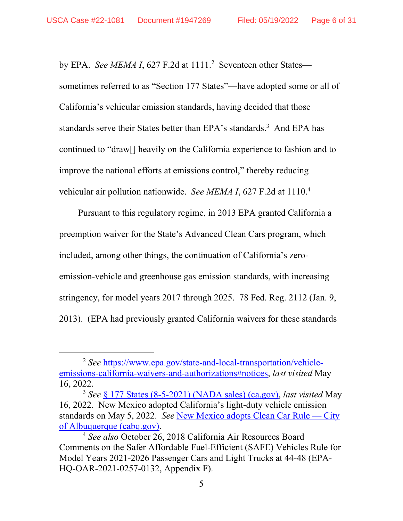by EPA. *See MEMA I*, 627 F.2d at 1111.<sup>2</sup> Seventeen other States sometimes referred to as "Section 177 States"—have adopted some or all of California's vehicular emission standards, having decided that those standards serve their States better than EPA's standards.<sup>3</sup> And EPA has continued to "draw[] heavily on the California experience to fashion and to improve the national efforts at emissions control," thereby reducing vehicular air pollution nationwide. *See MEMA I*, 627 F.2d at 1110.4

Pursuant to this regulatory regime, in 2013 EPA granted California a preemption waiver for the State's Advanced Clean Cars program, which included, among other things, the continuation of California's zeroemission-vehicle and greenhouse gas emission standards, with increasing stringency, for model years 2017 through 2025. 78 Fed. Reg. 2112 (Jan. 9, 2013). (EPA had previously granted California waivers for these standards

 <sup>2</sup> *See* https://www.epa.gov/state-and-local-transportation/vehicleemissions-california-waivers-and-authorizations#notices, *last visited* May 16, 2022.

<sup>3</sup> *See* § 177 States (8-5-2021) (NADA sales) (ca.gov), *last visited* May 16, 2022. New Mexico adopted California's light-duty vehicle emission standards on May 5, 2022. *See* New Mexico adopts Clean Car Rule — City of Albuquerque (cabq.gov). 4 *See also* October 26, 2018 California Air Resources Board

Comments on the Safer Affordable Fuel-Efficient (SAFE) Vehicles Rule for Model Years 2021-2026 Passenger Cars and Light Trucks at 44-48 (EPA-HQ-OAR-2021-0257-0132, Appendix F).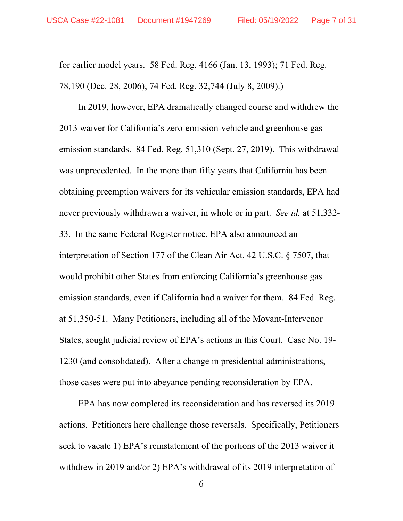for earlier model years. 58 Fed. Reg. 4166 (Jan. 13, 1993); 71 Fed. Reg. 78,190 (Dec. 28, 2006); 74 Fed. Reg. 32,744 (July 8, 2009).)

In 2019, however, EPA dramatically changed course and withdrew the 2013 waiver for California's zero-emission-vehicle and greenhouse gas emission standards. 84 Fed. Reg. 51,310 (Sept. 27, 2019). This withdrawal was unprecedented. In the more than fifty years that California has been obtaining preemption waivers for its vehicular emission standards, EPA had never previously withdrawn a waiver, in whole or in part. *See id.* at 51,332- 33. In the same Federal Register notice, EPA also announced an interpretation of Section 177 of the Clean Air Act, 42 U.S.C. § 7507, that would prohibit other States from enforcing California's greenhouse gas emission standards, even if California had a waiver for them. 84 Fed. Reg. at 51,350-51. Many Petitioners, including all of the Movant-Intervenor States, sought judicial review of EPA's actions in this Court. Case No. 19- 1230 (and consolidated). After a change in presidential administrations, those cases were put into abeyance pending reconsideration by EPA.

EPA has now completed its reconsideration and has reversed its 2019 actions. Petitioners here challenge those reversals. Specifically, Petitioners seek to vacate 1) EPA's reinstatement of the portions of the 2013 waiver it withdrew in 2019 and/or 2) EPA's withdrawal of its 2019 interpretation of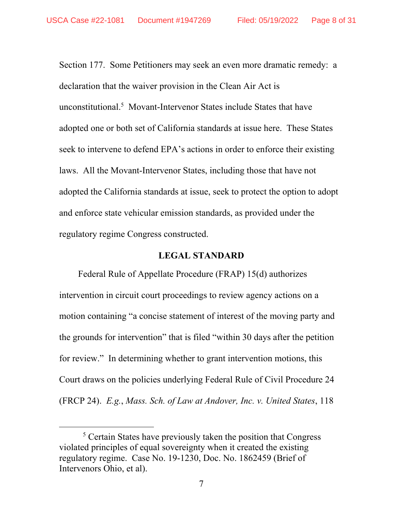Section 177. Some Petitioners may seek an even more dramatic remedy: a declaration that the waiver provision in the Clean Air Act is unconstitutional.<sup>5</sup> Movant-Intervenor States include States that have adopted one or both set of California standards at issue here. These States seek to intervene to defend EPA's actions in order to enforce their existing laws. All the Movant-Intervenor States, including those that have not adopted the California standards at issue, seek to protect the option to adopt and enforce state vehicular emission standards, as provided under the regulatory regime Congress constructed.

#### **LEGAL STANDARD**

Federal Rule of Appellate Procedure (FRAP) 15(d) authorizes intervention in circuit court proceedings to review agency actions on a motion containing "a concise statement of interest of the moving party and the grounds for intervention" that is filed "within 30 days after the petition for review." In determining whether to grant intervention motions, this Court draws on the policies underlying Federal Rule of Civil Procedure 24 (FRCP 24). *E.g.*, *Mass. Sch. of Law at Andover, Inc. v. United States*, 118

 $rac{1}{5}$ <sup>5</sup> Certain States have previously taken the position that Congress violated principles of equal sovereignty when it created the existing regulatory regime. Case No. 19-1230, Doc. No. 1862459 (Brief of Intervenors Ohio, et al).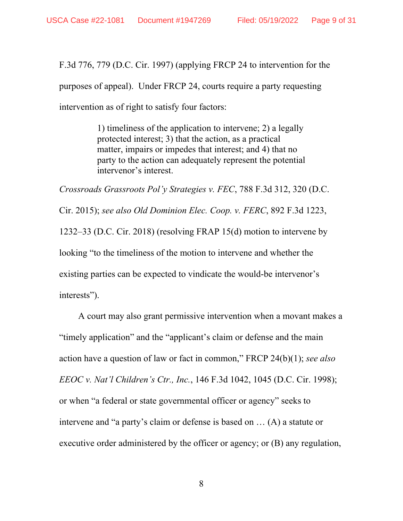F.3d 776, 779 (D.C. Cir. 1997) (applying FRCP 24 to intervention for the purposes of appeal). Under FRCP 24, courts require a party requesting intervention as of right to satisfy four factors:

> 1) timeliness of the application to intervene; 2) a legally protected interest; 3) that the action, as a practical matter, impairs or impedes that interest; and 4) that no party to the action can adequately represent the potential intervenor's interest.

*Crossroads Grassroots Pol'y Strategies v. FEC*, 788 F.3d 312, 320 (D.C. Cir. 2015); *see also Old Dominion Elec. Coop. v. FERC*, 892 F.3d 1223, 1232–33 (D.C. Cir. 2018) (resolving FRAP 15(d) motion to intervene by looking "to the timeliness of the motion to intervene and whether the existing parties can be expected to vindicate the would-be intervenor's interests").

A court may also grant permissive intervention when a movant makes a "timely application" and the "applicant's claim or defense and the main action have a question of law or fact in common," FRCP 24(b)(1); *see also EEOC v. Nat'l Children's Ctr., Inc.*, 146 F.3d 1042, 1045 (D.C. Cir. 1998); or when "a federal or state governmental officer or agency" seeks to intervene and "a party's claim or defense is based on … (A) a statute or executive order administered by the officer or agency; or (B) any regulation,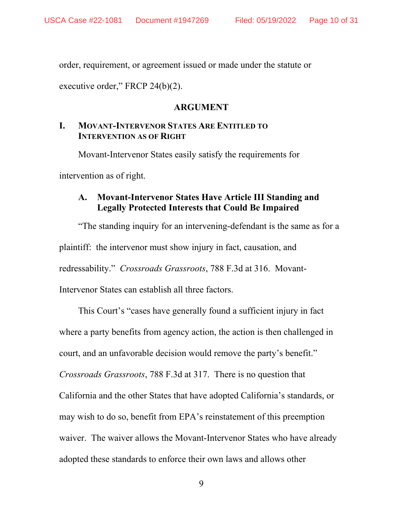order, requirement, or agreement issued or made under the statute or

executive order," FRCP 24(b)(2).

#### **ARGUMENT**

# **I. MOVANT-INTERVENOR STATES ARE ENTITLED TO INTERVENTION AS OF RIGHT**

Movant-Intervenor States easily satisfy the requirements for intervention as of right.

## **A. Movant-Intervenor States Have Article III Standing and Legally Protected Interests that Could Be Impaired**

"The standing inquiry for an intervening-defendant is the same as for a plaintiff: the intervenor must show injury in fact, causation, and redressability." *Crossroads Grassroots*, 788 F.3d at 316. Movant-Intervenor States can establish all three factors.

This Court's "cases have generally found a sufficient injury in fact where a party benefits from agency action, the action is then challenged in court, and an unfavorable decision would remove the party's benefit." *Crossroads Grassroots*, 788 F.3d at 317. There is no question that California and the other States that have adopted California's standards, or may wish to do so, benefit from EPA's reinstatement of this preemption waiver. The waiver allows the Movant-Intervenor States who have already adopted these standards to enforce their own laws and allows other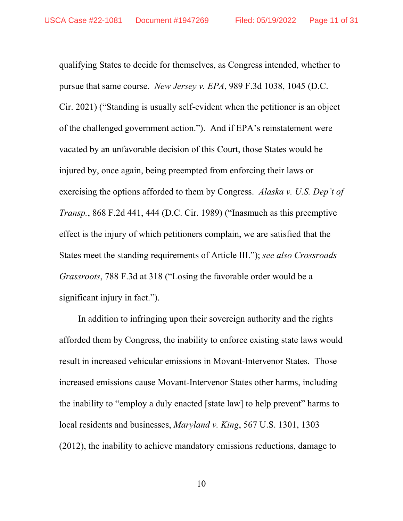qualifying States to decide for themselves, as Congress intended, whether to pursue that same course. *New Jersey v. EPA*, 989 F.3d 1038, 1045 (D.C. Cir. 2021) ("Standing is usually self-evident when the petitioner is an object of the challenged government action."). And if EPA's reinstatement were vacated by an unfavorable decision of this Court, those States would be injured by, once again, being preempted from enforcing their laws or exercising the options afforded to them by Congress. *Alaska v. U.S. Dep't of Transp.*, 868 F.2d 441, 444 (D.C. Cir. 1989) ("Inasmuch as this preemptive effect is the injury of which petitioners complain, we are satisfied that the States meet the standing requirements of Article III."); *see also Crossroads Grassroots*, 788 F.3d at 318 ("Losing the favorable order would be a significant injury in fact.").

In addition to infringing upon their sovereign authority and the rights afforded them by Congress, the inability to enforce existing state laws would result in increased vehicular emissions in Movant-Intervenor States. Those increased emissions cause Movant-Intervenor States other harms, including the inability to "employ a duly enacted [state law] to help prevent" harms to local residents and businesses, *Maryland v. King*, 567 U.S. 1301, 1303 (2012), the inability to achieve mandatory emissions reductions, damage to

10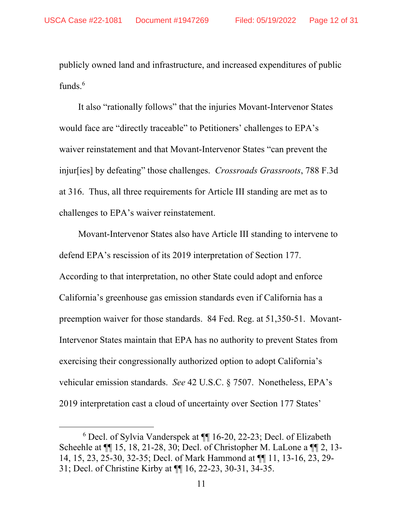publicly owned land and infrastructure, and increased expenditures of public funds.<sup>6</sup>

It also "rationally follows" that the injuries Movant-Intervenor States would face are "directly traceable" to Petitioners' challenges to EPA's waiver reinstatement and that Movant-Intervenor States "can prevent the injur[ies] by defeating" those challenges. *Crossroads Grassroots*, 788 F.3d at 316. Thus, all three requirements for Article III standing are met as to challenges to EPA's waiver reinstatement.

Movant-Intervenor States also have Article III standing to intervene to defend EPA's rescission of its 2019 interpretation of Section 177. According to that interpretation, no other State could adopt and enforce California's greenhouse gas emission standards even if California has a preemption waiver for those standards. 84 Fed. Reg. at 51,350-51. Movant-Intervenor States maintain that EPA has no authority to prevent States from exercising their congressionally authorized option to adopt California's vehicular emission standards. *See* 42 U.S.C. § 7507. Nonetheless, EPA's 2019 interpretation cast a cloud of uncertainty over Section 177 States'

 <sup>6</sup> <sup>6</sup> Decl. of Sylvia Vanderspek at ¶ 16-20, 22-23; Decl. of Elizabeth Scheehle at ¶¶ 15, 18, 21-28, 30; Decl. of Christopher M. LaLone a ¶¶ 2, 13- 14, 15, 23, 25-30, 32-35; Decl. of Mark Hammond at ¶¶ 11, 13-16, 23, 29- 31; Decl. of Christine Kirby at ¶¶ 16, 22-23, 30-31, 34-35.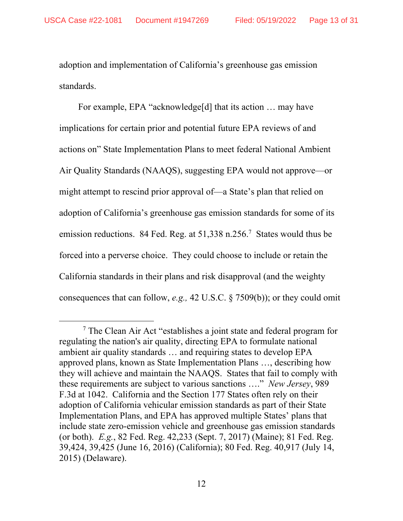adoption and implementation of California's greenhouse gas emission standards.

For example, EPA "acknowledge[d] that its action ... may have implications for certain prior and potential future EPA reviews of and actions on" State Implementation Plans to meet federal National Ambient Air Quality Standards (NAAQS), suggesting EPA would not approve—or might attempt to rescind prior approval of—a State's plan that relied on adoption of California's greenhouse gas emission standards for some of its emission reductions. 84 Fed. Reg. at 51,338 n.256.<sup>7</sup> States would thus be forced into a perverse choice. They could choose to include or retain the California standards in their plans and risk disapproval (and the weighty consequences that can follow, *e.g.,* 42 U.S.C. § 7509(b)); or they could omit

 $\frac{1}{7}$  $\frac{7}{7}$  The Clean Air Act "establishes a joint state and federal program for regulating the nation's air quality, directing EPA to formulate national ambient air quality standards … and requiring states to develop EPA approved plans, known as State Implementation Plans …, describing how they will achieve and maintain the NAAQS. States that fail to comply with these requirements are subject to various sanctions …." *New Jersey*, 989 F.3d at 1042. California and the Section 177 States often rely on their adoption of California vehicular emission standards as part of their State Implementation Plans, and EPA has approved multiple States' plans that include state zero-emission vehicle and greenhouse gas emission standards (or both). *E.g.*, 82 Fed. Reg. 42,233 (Sept. 7, 2017) (Maine); 81 Fed. Reg. 39,424, 39,425 (June 16, 2016) (California); 80 Fed. Reg. 40,917 (July 14, 2015) (Delaware).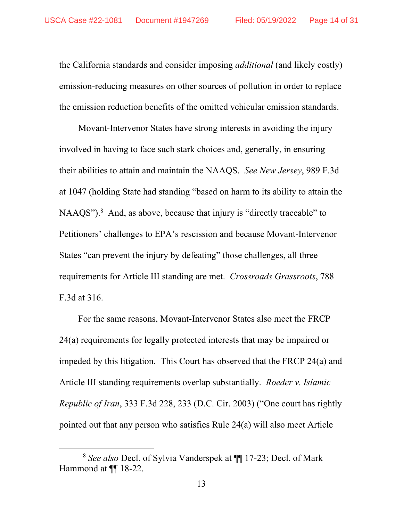the California standards and consider imposing *additional* (and likely costly) emission-reducing measures on other sources of pollution in order to replace the emission reduction benefits of the omitted vehicular emission standards.

Movant-Intervenor States have strong interests in avoiding the injury involved in having to face such stark choices and, generally, in ensuring their abilities to attain and maintain the NAAQS. *See New Jersey*, 989 F.3d at 1047 (holding State had standing "based on harm to its ability to attain the  $NAAQS$ ").<sup>8</sup> And, as above, because that injury is "directly traceable" to Petitioners' challenges to EPA's rescission and because Movant-Intervenor States "can prevent the injury by defeating" those challenges, all three requirements for Article III standing are met. *Crossroads Grassroots*, 788 F.3d at 316.

For the same reasons, Movant-Intervenor States also meet the FRCP 24(a) requirements for legally protected interests that may be impaired or impeded by this litigation. This Court has observed that the FRCP 24(a) and Article III standing requirements overlap substantially. *Roeder v. Islamic Republic of Iran*, 333 F.3d 228, 233 (D.C. Cir. 2003) ("One court has rightly pointed out that any person who satisfies Rule 24(a) will also meet Article

 <sup>8</sup> *See also* Decl. of Sylvia Vanderspek at ¶¶ 17-23; Decl. of Mark Hammond at ¶¶ 18-22.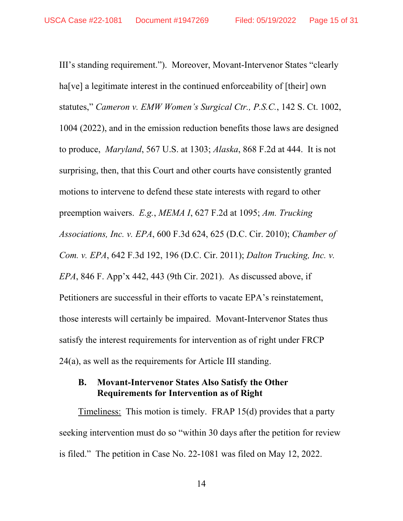III's standing requirement."). Moreover, Movant-Intervenor States "clearly ha[ve] a legitimate interest in the continued enforceability of [their] own statutes," *Cameron v. EMW Women's Surgical Ctr., P.S.C.*, 142 S. Ct. 1002, 1004 (2022), and in the emission reduction benefits those laws are designed to produce, *Maryland*, 567 U.S. at 1303; *Alaska*, 868 F.2d at 444. It is not surprising, then, that this Court and other courts have consistently granted motions to intervene to defend these state interests with regard to other preemption waivers. *E.g.*, *MEMA I*, 627 F.2d at 1095; *Am. Trucking Associations, Inc. v. EPA*, 600 F.3d 624, 625 (D.C. Cir. 2010); *Chamber of Com. v. EPA*, 642 F.3d 192, 196 (D.C. Cir. 2011); *Dalton Trucking, Inc. v. EPA*, 846 F. App'x 442, 443 (9th Cir. 2021). As discussed above, if Petitioners are successful in their efforts to vacate EPA's reinstatement, those interests will certainly be impaired. Movant-Intervenor States thus satisfy the interest requirements for intervention as of right under FRCP 24(a), as well as the requirements for Article III standing.

## **B. Movant-Intervenor States Also Satisfy the Other Requirements for Intervention as of Right**

Timeliness: This motion is timely. FRAP 15(d) provides that a party seeking intervention must do so "within 30 days after the petition for review is filed." The petition in Case No. 22-1081 was filed on May 12, 2022.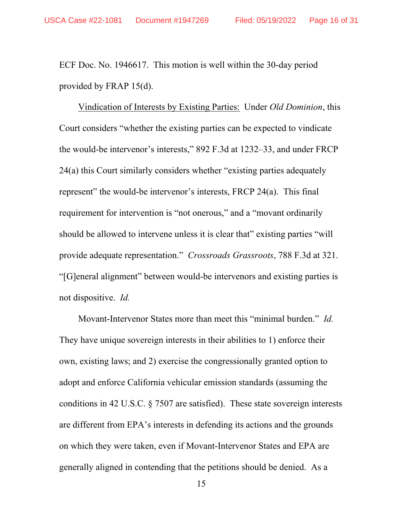ECF Doc. No. 1946617. This motion is well within the 30-day period provided by FRAP 15(d).

Vindication of Interests by Existing Parties: Under *Old Dominion*, this Court considers "whether the existing parties can be expected to vindicate the would-be intervenor's interests," 892 F.3d at 1232–33, and under FRCP 24(a) this Court similarly considers whether "existing parties adequately represent" the would-be intervenor's interests, FRCP 24(a). This final requirement for intervention is "not onerous," and a "movant ordinarily should be allowed to intervene unless it is clear that" existing parties "will provide adequate representation." *Crossroads Grassroots*, 788 F.3d at 321. "[G]eneral alignment" between would-be intervenors and existing parties is not dispositive. *Id.*

Movant-Intervenor States more than meet this "minimal burden." *Id.* They have unique sovereign interests in their abilities to 1) enforce their own, existing laws; and 2) exercise the congressionally granted option to adopt and enforce California vehicular emission standards (assuming the conditions in 42 U.S.C. § 7507 are satisfied). These state sovereign interests are different from EPA's interests in defending its actions and the grounds on which they were taken, even if Movant-Intervenor States and EPA are generally aligned in contending that the petitions should be denied. As a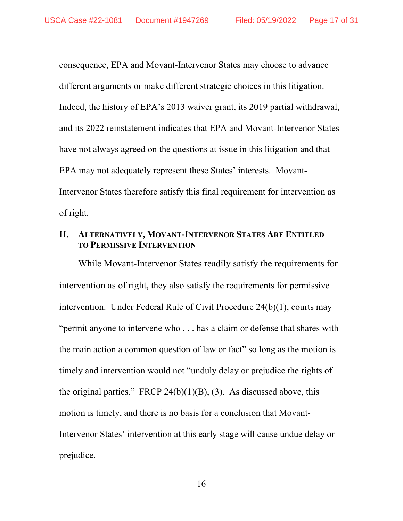consequence, EPA and Movant-Intervenor States may choose to advance different arguments or make different strategic choices in this litigation. Indeed, the history of EPA's 2013 waiver grant, its 2019 partial withdrawal, and its 2022 reinstatement indicates that EPA and Movant-Intervenor States have not always agreed on the questions at issue in this litigation and that EPA may not adequately represent these States' interests. Movant-Intervenor States therefore satisfy this final requirement for intervention as of right.

# **II. ALTERNATIVELY, MOVANT-INTERVENOR STATES ARE ENTITLED TO PERMISSIVE INTERVENTION**

While Movant-Intervenor States readily satisfy the requirements for intervention as of right, they also satisfy the requirements for permissive intervention. Under Federal Rule of Civil Procedure 24(b)(1), courts may "permit anyone to intervene who . . . has a claim or defense that shares with the main action a common question of law or fact" so long as the motion is timely and intervention would not "unduly delay or prejudice the rights of the original parties." FRCP 24(b)(1)(B), (3). As discussed above, this motion is timely, and there is no basis for a conclusion that Movant-Intervenor States' intervention at this early stage will cause undue delay or prejudice.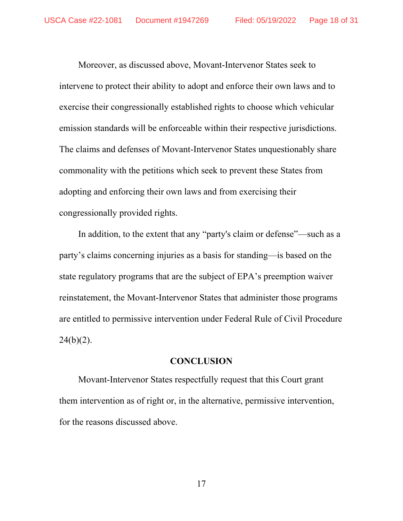Moreover, as discussed above, Movant-Intervenor States seek to intervene to protect their ability to adopt and enforce their own laws and to exercise their congressionally established rights to choose which vehicular emission standards will be enforceable within their respective jurisdictions. The claims and defenses of Movant-Intervenor States unquestionably share commonality with the petitions which seek to prevent these States from adopting and enforcing their own laws and from exercising their congressionally provided rights.

In addition, to the extent that any "party's claim or defense"—such as a party's claims concerning injuries as a basis for standing—is based on the state regulatory programs that are the subject of EPA's preemption waiver reinstatement, the Movant-Intervenor States that administer those programs are entitled to permissive intervention under Federal Rule of Civil Procedure  $24(b)(2)$ .

#### **CONCLUSION**

Movant-Intervenor States respectfully request that this Court grant them intervention as of right or, in the alternative, permissive intervention, for the reasons discussed above.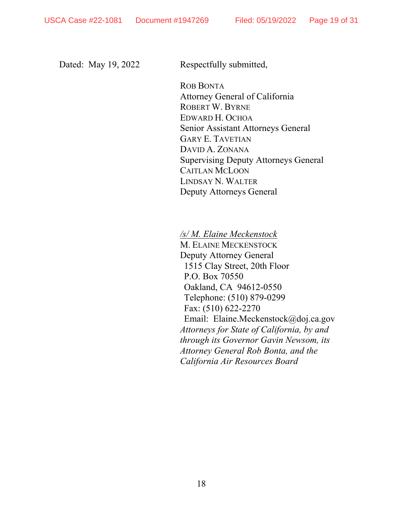Dated: May 19, 2022 Respectfully submitted,

ROB BONTA Attorney General of California ROBERT W. BYRNE EDWARD H. OCHOA Senior Assistant Attorneys General GARY E. TAVETIAN DAVID A. ZONANA Supervising Deputy Attorneys General CAITLAN MCLOON LINDSAY N. WALTER Deputy Attorneys General

*/s/ M. Elaine Meckenstock* 

M. ELAINE MECKENSTOCK Deputy Attorney General 1515 Clay Street, 20th Floor P.O. Box 70550 Oakland, CA 94612-0550 Telephone: (510) 879-0299 Fax: (510) 622-2270 Email: Elaine.Meckenstock@doj.ca.gov *Attorneys for State of California, by and through its Governor Gavin Newsom, its Attorney General Rob Bonta, and the California Air Resources Board*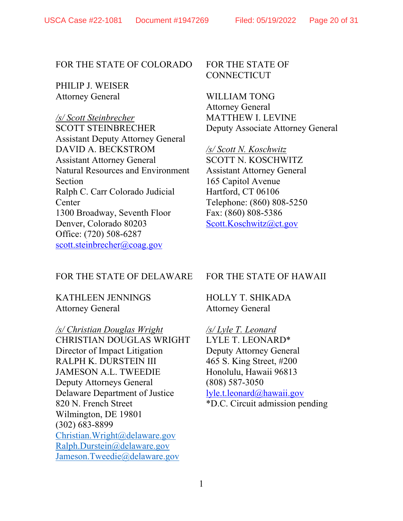#### FOR THE STATE OF COLORADO

PHILIP J. WEISER Attorney General

*/s/ Scott Steinbrecher* SCOTT STEINBRECHER Assistant Deputy Attorney General DAVID A. BECKSTROM Assistant Attorney General Natural Resources and Environment Section Ralph C. Carr Colorado Judicial Center 1300 Broadway, Seventh Floor Denver, Colorado 80203 Office: (720) 508-6287 scott.steinbrecher@coag.gov

FOR THE STATE OF CONNECTICUT

WILLIAM TONG Attorney General MATTHEW I. LEVINE Deputy Associate Attorney General

*/s/ Scott N. Koschwitz*  SCOTT N. KOSCHWITZ Assistant Attorney General 165 Capitol Avenue Hartford, CT 06106 Telephone: (860) 808-5250 Fax: (860) 808-5386 Scott.Koschwitz@ct.gov

#### FOR THE STATE OF DELAWARE

KATHLEEN JENNINGS Attorney General

*/s/ Christian Douglas Wright* CHRISTIAN DOUGLAS WRIGHT Director of Impact Litigation RALPH K. DURSTEIN III JAMESON A.L. TWEEDIE Deputy Attorneys General Delaware Department of Justice 820 N. French Street Wilmington, DE 19801 (302) 683-8899 Christian.Wright@delaware.gov Ralph.Durstein@delaware.gov Jameson.Tweedie@delaware.gov

#### FOR THE STATE OF HAWAII

HOLLY T. SHIKADA Attorney General

*/s/ Lyle T. Leonard*  LYLE T. LEONARD\* Deputy Attorney General 465 S. King Street, #200 Honolulu, Hawaii 96813 (808) 587-3050 lyle.t.leonard@hawaii.gov \*D.C. Circuit admission pending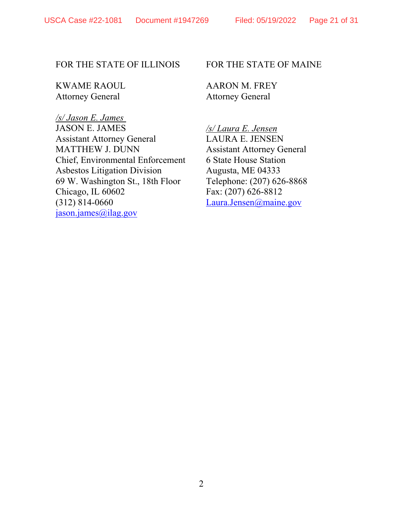# FOR THE STATE OF ILLINOIS

KWAME RAOUL Attorney General

*/s/ Jason E. James*  JASON E. JAMES Assistant Attorney General MATTHEW J. DUNN Chief, Environmental Enforcement Asbestos Litigation Division 69 W. Washington St., 18th Floor Chicago, IL 60602 (312) 814-0660 jason.james@ilag.gov

## FOR THE STATE OF MAINE

AARON M. FREY Attorney General

*/s/ Laura E. Jensen*  LAURA E. JENSEN Assistant Attorney General 6 State House Station Augusta, ME 04333 Telephone: (207) 626-8868 Fax: (207) 626-8812 Laura.Jensen@maine.gov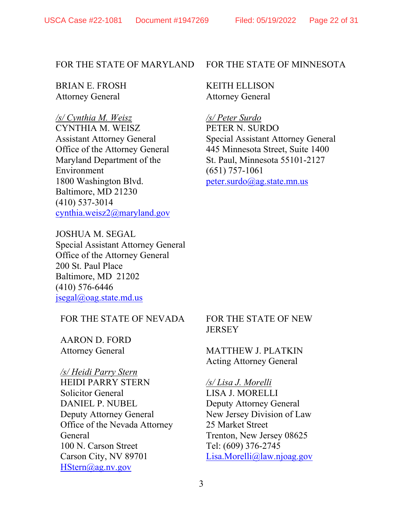#### FOR THE STATE OF MARYLAND

BRIAN E. FROSH Attorney General

*/s/ Cynthia M. Weisz*  CYNTHIA M. WEISZ Assistant Attorney General Office of the Attorney General Maryland Department of the Environment 1800 Washington Blvd. Baltimore, MD 21230 (410) 537-3014 cynthia.weisz2@maryland.gov

JOSHUA M. SEGAL Special Assistant Attorney General Office of the Attorney General 200 St. Paul Place Baltimore, MD 21202 (410) 576-6446 jsegal@oag.state.md.us

FOR THE STATE OF NEVADA

AARON D. FORD Attorney General

*/s/ Heidi Parry Stern*  HEIDI PARRY STERN Solicitor General DANIEL P. NUBEL Deputy Attorney General Office of the Nevada Attorney General 100 N. Carson Street Carson City, NV 89701 HStern@ag.nv.gov

#### FOR THE STATE OF MINNESOTA

KEITH ELLISON Attorney General

*/s/ Peter Surdo*  PETER N. SURDO Special Assistant Attorney General 445 Minnesota Street, Suite 1400 St. Paul, Minnesota 55101-2127 (651) 757-1061 peter.surdo@ag.state.mn.us

## FOR THE STATE OF NEW **JERSEY**

MATTHEW J. PLATKIN Acting Attorney General

*/s/ Lisa J. Morelli* LISA J. MORELLI Deputy Attorney General New Jersey Division of Law 25 Market Street Trenton, New Jersey 08625 Tel: (609) 376-2745 Lisa.Morelli@law.njoag.gov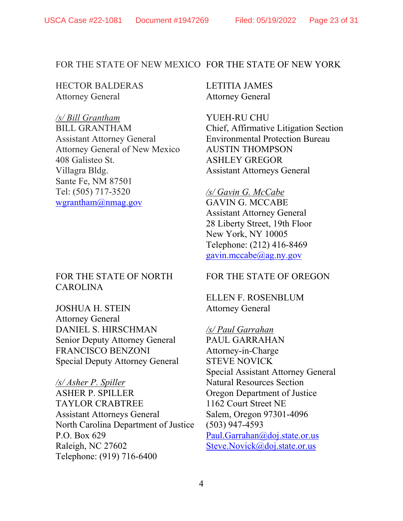## FOR THE STATE OF NEW MEXICO FOR THE STATE OF NEW YORK

HECTOR BALDERAS Attorney General

*/s/ Bill Grantham* BILL GRANTHAM Assistant Attorney General Attorney General of New Mexico 408 Galisteo St. Villagra Bldg. Sante Fe, NM 87501 Tel: (505) 717-3520 wgrantham@nmag.gov

# FOR THE STATE OF NORTH CAROLINA

JOSHUA H. STEIN Attorney General DANIEL S. HIRSCHMAN Senior Deputy Attorney General FRANCISCO BENZONI Special Deputy Attorney General

*/s/ Asher P. Spiller* ASHER P. SPILLER TAYLOR CRABTREE Assistant Attorneys General North Carolina Department of Justice P.O. Box 629 Raleigh, NC 27602 Telephone: (919) 716-6400

LETITIA JAMES Attorney General

YUEH-RU CHU Chief, Affirmative Litigation Section Environmental Protection Bureau AUSTIN THOMPSON ASHLEY GREGOR Assistant Attorneys General

## */s/ Gavin G. McCabe*

GAVIN G. MCCABE Assistant Attorney General 28 Liberty Street, 19th Floor New York, NY 10005 Telephone: (212) 416-8469 gavin.mccabe@ag.ny.gov

# FOR THE STATE OF OREGON

ELLEN F. ROSENBLUM Attorney General

*/s/ Paul Garrahan*  PAUL GARRAHAN Attorney-in-Charge STEVE NOVICK Special Assistant Attorney General Natural Resources Section Oregon Department of Justice 1162 Court Street NE Salem, Oregon 97301-4096 (503) 947-4593 Paul.Garrahan@doj.state.or.us Steve.Novick@doj.state.or.us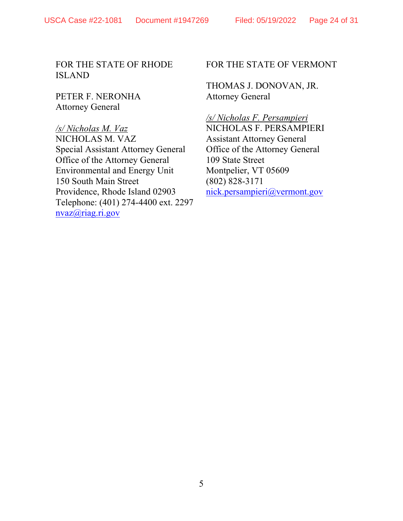FOR THE STATE OF RHODE ISLAND

PETER F. NERONHA Attorney General

*/s/ Nicholas M. Vaz* NICHOLAS M. VAZ Special Assistant Attorney General Office of the Attorney General Environmental and Energy Unit 150 South Main Street Providence, Rhode Island 02903 Telephone: (401) 274-4400 ext. 2297 nvaz@riag.ri.gov

FOR THE STATE OF VERMONT

THOMAS J. DONOVAN, JR. Attorney General

*/s/ Nicholas F. Persampieri*  NICHOLAS F. PERSAMPIERI Assistant Attorney General Office of the Attorney General 109 State Street Montpelier, VT 05609 (802) 828-3171 nick.persampieri@vermont.gov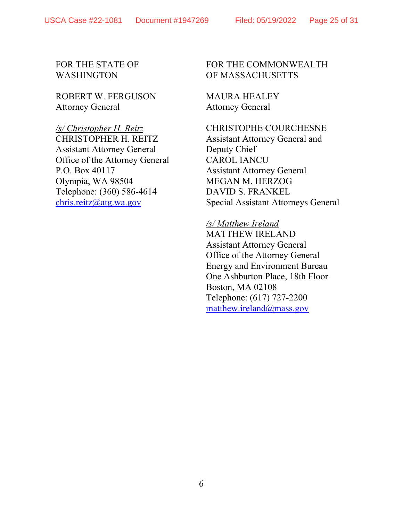USCA Case #22-1081 Document #1947269 Filed: 05/19/2022 Page 25 of 31

# FOR THE STATE OF WASHINGTON

ROBERT W. FERGUSON Attorney General

#### */s/ Christopher H. Reitz*  CHRISTOPHER H. REITZ

Assistant Attorney General Office of the Attorney General P.O. Box 40117 Olympia, WA 98504 Telephone: (360) 586-4614 chris.reitz@atg.wa.gov

# FOR THE COMMONWEALTH OF MASSACHUSETTS

MAURA HEALEY Attorney General

# CHRISTOPHE COURCHESNE

Assistant Attorney General and Deputy Chief CAROL IANCU Assistant Attorney General MEGAN M. HERZOG DAVID S. FRANKEL Special Assistant Attorneys General

# */s/ Matthew Ireland*  MATTHEW IRELAND Assistant Attorney General Office of the Attorney General Energy and Environment Bureau One Ashburton Place, 18th Floor Boston, MA 02108 Telephone: (617) 727-2200 matthew.ireland@mass.gov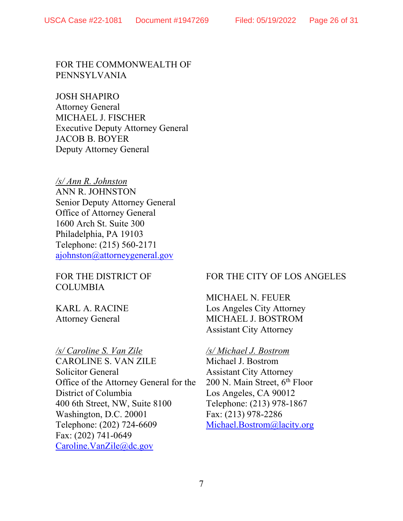FOR THE COMMONWEALTH OF PENNSYLVANIA

JOSH SHAPIRO Attorney General MICHAEL J. FISCHER Executive Deputy Attorney General JACOB B. BOYER Deputy Attorney General

*/s/ Ann R. Johnston*  ANN R. JOHNSTON Senior Deputy Attorney General Office of Attorney General 1600 Arch St. Suite 300 Philadelphia, PA 19103 Telephone: (215) 560-2171 ajohnston@attorneygeneral.gov

FOR THE DISTRICT OF COLUMBIA

KARL A. RACINE Attorney General

## */s/ Caroline S. Van Zile*

CAROLINE S. VAN ZILE Solicitor General Office of the Attorney General for the District of Columbia 400 6th Street, NW, Suite 8100 Washington, D.C. 20001 Telephone: (202) 724-6609 Fax: (202) 741-0649 Caroline.VanZile@dc.gov

# FOR THE CITY OF LOS ANGELES

MICHAEL N. FEUER Los Angeles City Attorney MICHAEL J. BOSTROM Assistant City Attorney

## */s/ Michael J. Bostrom*

Michael J. Bostrom Assistant City Attorney 200 N. Main Street, 6<sup>th</sup> Floor Los Angeles, CA 90012 Telephone: (213) 978-1867 Fax: (213) 978-2286 Michael.Bostrom@lacity.org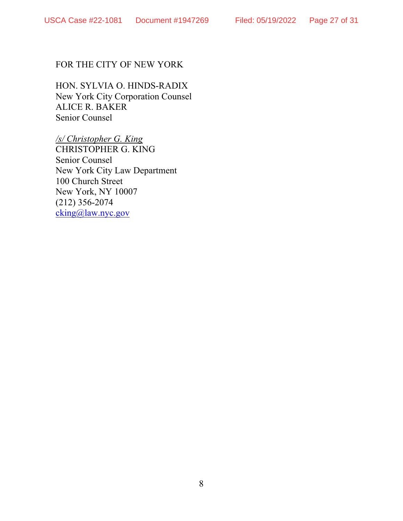# FOR THE CITY OF NEW YORK

HON. SYLVIA O. HINDS-RADIX New York City Corporation Counsel ALICE R. BAKER Senior Counsel

*/s/ Christopher G. King* CHRISTOPHER G. KING Senior Counsel New York City Law Department 100 Church Street New York, NY 10007 (212) 356-2074 cking@law.nyc.gov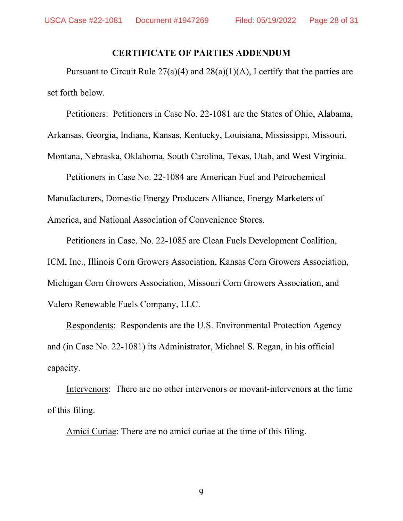#### **CERTIFICATE OF PARTIES ADDENDUM**

Pursuant to Circuit Rule  $27(a)(4)$  and  $28(a)(1)(A)$ , I certify that the parties are set forth below.

Petitioners: Petitioners in Case No. 22-1081 are the States of Ohio, Alabama, Arkansas, Georgia, Indiana, Kansas, Kentucky, Louisiana, Mississippi, Missouri, Montana, Nebraska, Oklahoma, South Carolina, Texas, Utah, and West Virginia.

Petitioners in Case No. 22-1084 are American Fuel and Petrochemical Manufacturers, Domestic Energy Producers Alliance, Energy Marketers of America, and National Association of Convenience Stores.

Petitioners in Case. No. 22-1085 are Clean Fuels Development Coalition, ICM, Inc., Illinois Corn Growers Association, Kansas Corn Growers Association, Michigan Corn Growers Association, Missouri Corn Growers Association, and Valero Renewable Fuels Company, LLC.

Respondents: Respondents are the U.S. Environmental Protection Agency and (in Case No. 22-1081) its Administrator, Michael S. Regan, in his official capacity.

Intervenors: There are no other intervenors or movant-intervenors at the time of this filing.

Amici Curiae: There are no amici curiae at the time of this filing.

9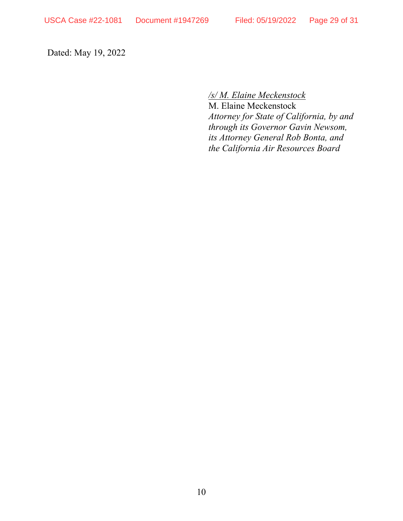Dated: May 19, 2022

*/s/ M. Elaine Meckenstock* 

M. Elaine Meckenstock *Attorney for State of California, by and through its Governor Gavin Newsom, its Attorney General Rob Bonta, and the California Air Resources Board*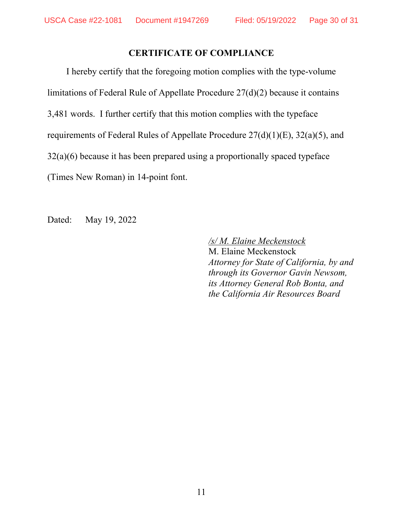# **CERTIFICATE OF COMPLIANCE**

I hereby certify that the foregoing motion complies with the type-volume limitations of Federal Rule of Appellate Procedure 27(d)(2) because it contains 3,481 words. I further certify that this motion complies with the typeface requirements of Federal Rules of Appellate Procedure 27(d)(1)(E), 32(a)(5), and  $32(a)(6)$  because it has been prepared using a proportionally spaced typeface (Times New Roman) in 14-point font.

Dated: May 19, 2022

*/s/ M. Elaine Meckenstock*  M. Elaine Meckenstock *Attorney for State of California, by and through its Governor Gavin Newsom, its Attorney General Rob Bonta, and the California Air Resources Board*